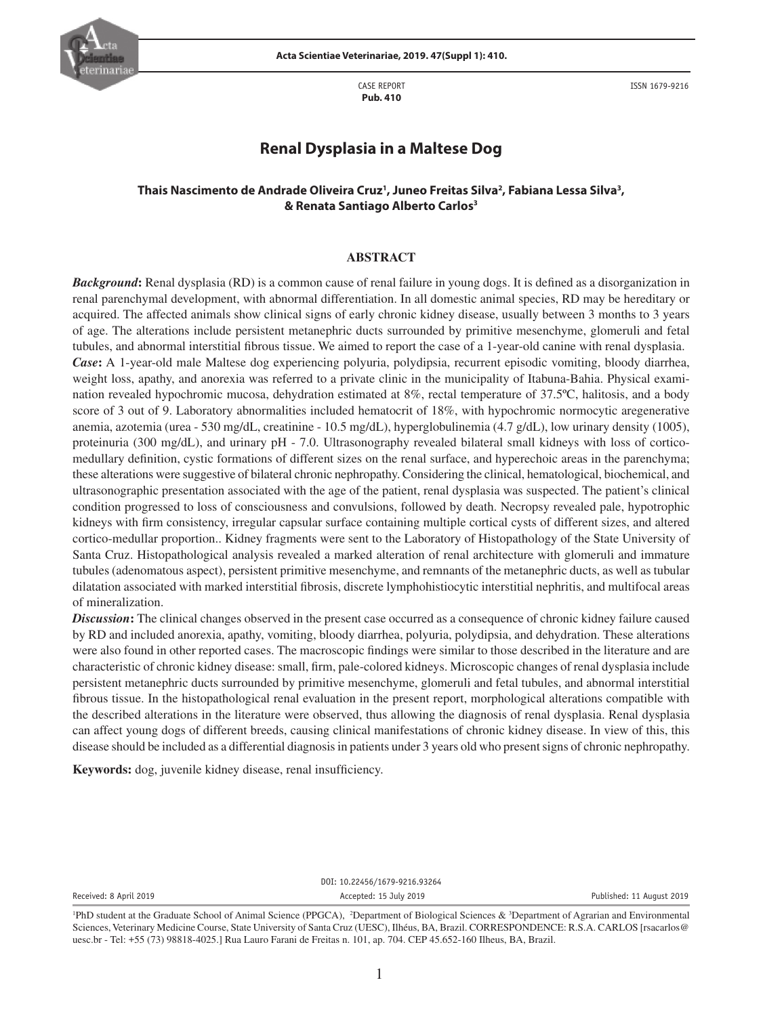

CASE REPORT **Pub. 410**

ISSN 1679-9216

# **Renal Dysplasia in a Maltese Dog**

## Thais Nascimento de Andrade Oliveira Cruz<sup>ı</sup>, Juneo Freitas Silva<sup>2</sup>, Fabiana Lessa Silva<sup>3</sup>, **& Renata Santiago Alberto Carlos3**

### **ABSTRACT**

*Background*: Renal dysplasia (RD) is a common cause of renal failure in young dogs. It is defined as a disorganization in renal parenchymal development, with abnormal differentiation. In all domestic animal species, RD may be hereditary or acquired. The affected animals show clinical signs of early chronic kidney disease, usually between 3 months to 3 years of age. The alterations include persistent metanephric ducts surrounded by primitive mesenchyme, glomeruli and fetal tubules, and abnormal interstitial fibrous tissue. We aimed to report the case of a 1-year-old canine with renal dysplasia. *Case***:** A 1-year-old male Maltese dog experiencing polyuria, polydipsia, recurrent episodic vomiting, bloody diarrhea, weight loss, apathy, and anorexia was referred to a private clinic in the municipality of Itabuna-Bahia. Physical examination revealed hypochromic mucosa, dehydration estimated at 8%, rectal temperature of 37.5ºC, halitosis, and a body score of 3 out of 9. Laboratory abnormalities included hematocrit of 18%, with hypochromic normocytic aregenerative anemia, azotemia (urea - 530 mg/dL, creatinine - 10.5 mg/dL), hyperglobulinemia (4.7 g/dL), low urinary density (1005), proteinuria (300 mg/dL), and urinary pH - 7.0. Ultrasonography revealed bilateral small kidneys with loss of corticomedullary definition, cystic formations of different sizes on the renal surface, and hyperechoic areas in the parenchyma; these alterations were suggestive of bilateral chronic nephropathy. Considering the clinical, hematological, biochemical, and ultrasonographic presentation associated with the age of the patient, renal dysplasia was suspected. The patient's clinical condition progressed to loss of consciousness and convulsions, followed by death. Necropsy revealed pale, hypotrophic kidneys with firm consistency, irregular capsular surface containing multiple cortical cysts of different sizes, and altered cortico-medullar proportion.. Kidney fragments were sent to the Laboratory of Histopathology of the State University of Santa Cruz. Histopathological analysis revealed a marked alteration of renal architecture with glomeruli and immature tubules (adenomatous aspect), persistent primitive mesenchyme, and remnants of the metanephric ducts, as well as tubular dilatation associated with marked interstitial fibrosis, discrete lymphohistiocytic interstitial nephritis, and multifocal areas of mineralization.

*Discussion***:** The clinical changes observed in the present case occurred as a consequence of chronic kidney failure caused by RD and included anorexia, apathy, vomiting, bloody diarrhea, polyuria, polydipsia, and dehydration. These alterations were also found in other reported cases. The macroscopic findings were similar to those described in the literature and are characteristic of chronic kidney disease: small, firm, pale-colored kidneys. Microscopic changes of renal dysplasia include persistent metanephric ducts surrounded by primitive mesenchyme, glomeruli and fetal tubules, and abnormal interstitial fibrous tissue. In the histopathological renal evaluation in the present report, morphological alterations compatible with the described alterations in the literature were observed, thus allowing the diagnosis of renal dysplasia. Renal dysplasia can affect young dogs of different breeds, causing clinical manifestations of chronic kidney disease. In view of this, this disease should be included as a differential diagnosis in patients under 3 years old who present signs of chronic nephropathy.

**Keywords:** dog, juvenile kidney disease, renal insufficiency.

DOI: 10.22456/1679-9216.93264 Received: 8 April 2019 **Accepted: 15 July 2019 Accepted: 15 July 2019 Published: 11 August 2019** 

<sup>&</sup>lt;sup>1</sup>PhD student at the Graduate School of Animal Science (PPGCA), <sup>2</sup>Department of Biological Sciences & <sup>3</sup>Department of Agrarian and Environmental Sciences, Veterinary Medicine Course, State University of Santa Cruz (UESC), Ilhéus, BA, Brazil. CORRESPONDENCE: R.S.A. CARLOS [rsacarlos@ uesc.br - Tel: +55 (73) 98818-4025.] Rua Lauro Farani de Freitas n. 101, ap. 704. CEP 45.652-160 Ilheus, BA, Brazil.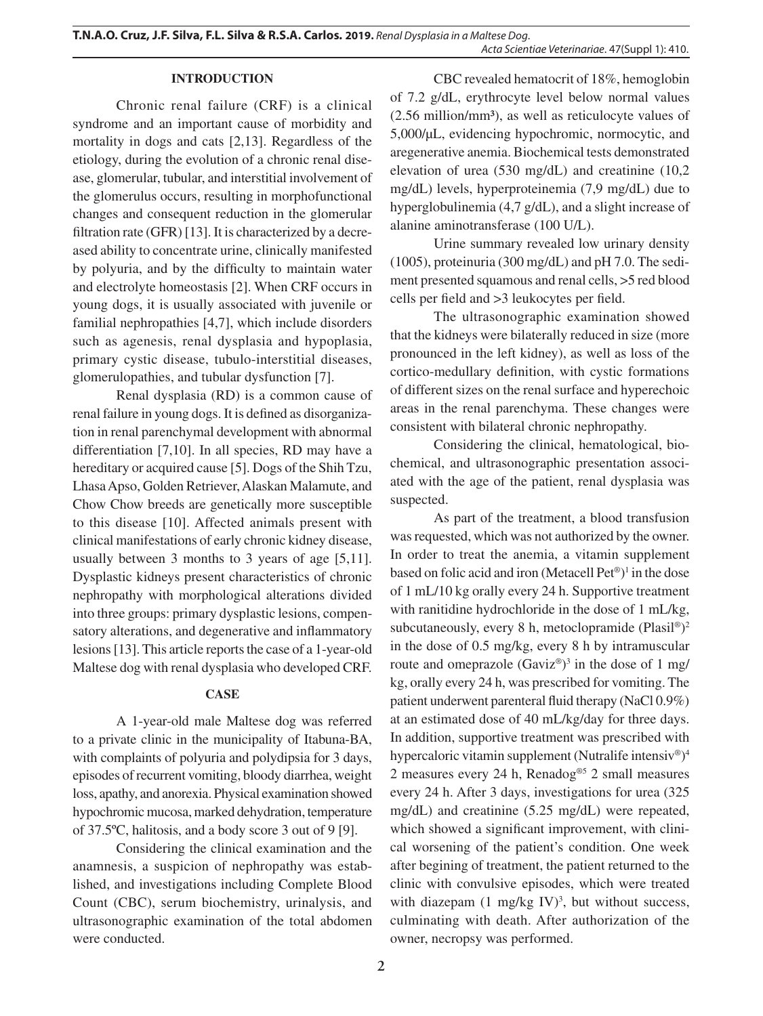## **INTRODUCTION**

Chronic renal failure (CRF) is a clinical syndrome and an important cause of morbidity and mortality in dogs and cats [2,13]. Regardless of the etiology, during the evolution of a chronic renal disease, glomerular, tubular, and interstitial involvement of the glomerulus occurs, resulting in morphofunctional changes and consequent reduction in the glomerular filtration rate (GFR) [13]. It is characterized by a decreased ability to concentrate urine, clinically manifested by polyuria, and by the difficulty to maintain water and electrolyte homeostasis [2]. When CRF occurs in young dogs, it is usually associated with juvenile or familial nephropathies [4,7], which include disorders such as agenesis, renal dysplasia and hypoplasia, primary cystic disease, tubulo-interstitial diseases, glomerulopathies, and tubular dysfunction [7].

Renal dysplasia (RD) is a common cause of renal failure in young dogs. It is defined as disorganization in renal parenchymal development with abnormal differentiation [7,10]. In all species, RD may have a hereditary or acquired cause [5]. Dogs of the Shih Tzu, Lhasa Apso, Golden Retriever, Alaskan Malamute, and Chow Chow breeds are genetically more susceptible to this disease [10]. Affected animals present with clinical manifestations of early chronic kidney disease, usually between 3 months to 3 years of age [5,11]. Dysplastic kidneys present characteristics of chronic nephropathy with morphological alterations divided into three groups: primary dysplastic lesions, compensatory alterations, and degenerative and inflammatory lesions [13]. This article reports the case of a 1-year-old Maltese dog with renal dysplasia who developed CRF.

# **CASE**

A 1-year-old male Maltese dog was referred to a private clinic in the municipality of Itabuna-BA, with complaints of polyuria and polydipsia for 3 days, episodes of recurrent vomiting, bloody diarrhea, weight loss, apathy, and anorexia. Physical examination showed hypochromic mucosa, marked dehydration, temperature of 37.5ºC, halitosis, and a body score 3 out of 9 [9].

Considering the clinical examination and the anamnesis, a suspicion of nephropathy was established, and investigations including Complete Blood Count (CBC), serum biochemistry, urinalysis, and ultrasonographic examination of the total abdomen were conducted.

CBC revealed hematocrit of 18%, hemoglobin of 7.2 g/dL, erythrocyte level below normal values (2.56 million/mm³), as well as reticulocyte values of 5,000/μL, evidencing hypochromic, normocytic, and aregenerative anemia. Biochemical tests demonstrated elevation of urea (530 mg/dL) and creatinine (10,2 mg/dL) levels, hyperproteinemia (7,9 mg/dL) due to hyperglobulinemia (4,7 g/dL), and a slight increase of alanine aminotransferase (100 U/L).

Urine summary revealed low urinary density (1005), proteinuria (300 mg/dL) and pH 7.0. The sediment presented squamous and renal cells, >5 red blood cells per field and >3 leukocytes per field.

The ultrasonographic examination showed that the kidneys were bilaterally reduced in size (more pronounced in the left kidney), as well as loss of the cortico-medullary definition, with cystic formations of different sizes on the renal surface and hyperechoic areas in the renal parenchyma. These changes were consistent with bilateral chronic nephropathy.

Considering the clinical, hematological, biochemical, and ultrasonographic presentation associated with the age of the patient, renal dysplasia was suspected.

As part of the treatment, a blood transfusion was requested, which was not authorized by the owner. In order to treat the anemia, a vitamin supplement based on folic acid and iron (Metacell Pet®) 1 in the dose of 1 mL/10 kg orally every 24 h. Supportive treatment with ranitidine hydrochloride in the dose of 1 mL/kg, subcutaneously, every 8 h, metoclopramide (Plasil®)<sup>2</sup> in the dose of 0.5 mg/kg, every 8 h by intramuscular route and omeprazole  $(Gaviz<sup>®</sup>)<sup>3</sup>$  in the dose of 1 mg/ kg, orally every 24 h, was prescribed for vomiting. The patient underwent parenteral fluid therapy (NaCl 0.9%) at an estimated dose of 40 mL/kg/day for three days. In addition, supportive treatment was prescribed with hypercaloric vitamin supplement (Nutralife intensiv®) 4 2 measures every 24 h, Renadog®5 2 small measures every 24 h. After 3 days, investigations for urea (325 mg/dL) and creatinine (5.25 mg/dL) were repeated, which showed a significant improvement, with clinical worsening of the patient's condition. One week after begining of treatment, the patient returned to the clinic with convulsive episodes, which were treated with diazepam  $(1 \text{ mg/kg IV})^3$ , but without success, culminating with death. After authorization of the owner, necropsy was performed.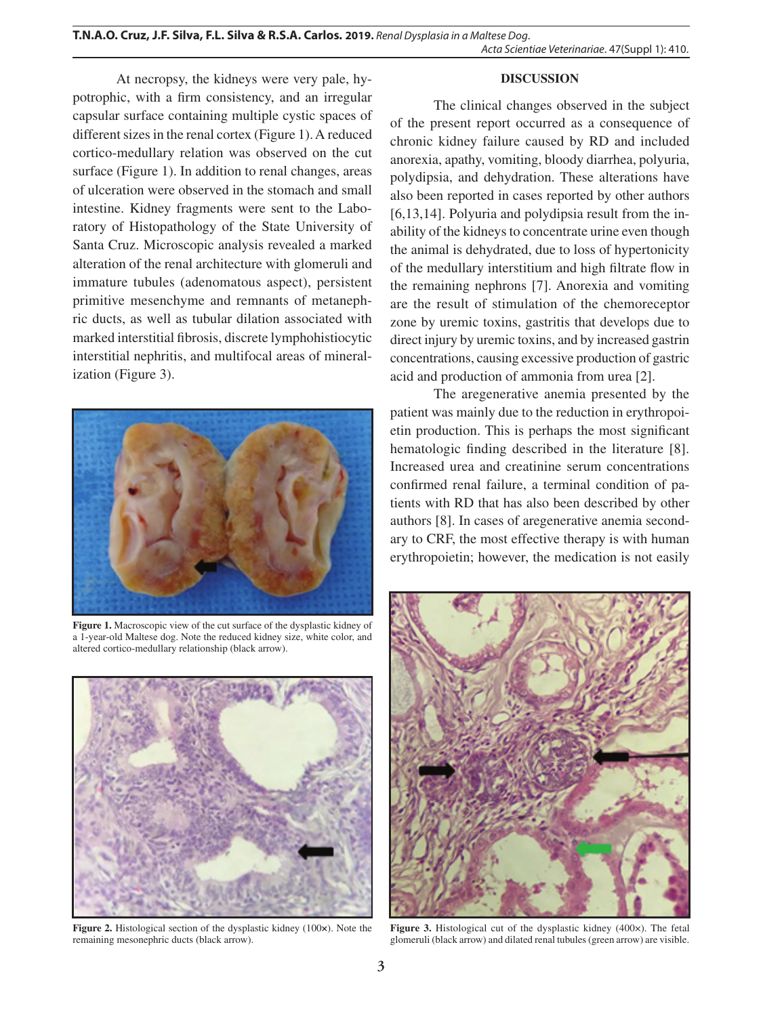### **DISCUSSION**

At necropsy, the kidneys were very pale, hypotrophic, with a firm consistency, and an irregular capsular surface containing multiple cystic spaces of different sizes in the renal cortex (Figure 1). A reduced cortico-medullary relation was observed on the cut surface (Figure 1). In addition to renal changes, areas of ulceration were observed in the stomach and small intestine. Kidney fragments were sent to the Laboratory of Histopathology of the State University of Santa Cruz. Microscopic analysis revealed a marked alteration of the renal architecture with glomeruli and immature tubules (adenomatous aspect), persistent primitive mesenchyme and remnants of metanephric ducts, as well as tubular dilation associated with marked interstitial fibrosis, discrete lymphohistiocytic interstitial nephritis, and multifocal areas of mineralization (Figure 3).



**Figure 1.** Macroscopic view of the cut surface of the dysplastic kidney of a 1-year-old Maltese dog. Note the reduced kidney size, white color, and altered cortico-medullary relationship (black arrow).



**Figure 2.** Histological section of the dysplastic kidney (100*×*). Note the remaining mesonephric ducts (black arrow).

The clinical changes observed in the subject of the present report occurred as a consequence of chronic kidney failure caused by RD and included anorexia, apathy, vomiting, bloody diarrhea, polyuria, polydipsia, and dehydration. These alterations have also been reported in cases reported by other authors [6,13,14]. Polyuria and polydipsia result from the inability of the kidneys to concentrate urine even though the animal is dehydrated, due to loss of hypertonicity of the medullary interstitium and high filtrate flow in the remaining nephrons [7]. Anorexia and vomiting are the result of stimulation of the chemoreceptor zone by uremic toxins, gastritis that develops due to direct injury by uremic toxins, and by increased gastrin concentrations, causing excessive production of gastric acid and production of ammonia from urea [2].

The aregenerative anemia presented by the patient was mainly due to the reduction in erythropoietin production. This is perhaps the most significant hematologic finding described in the literature [8]. Increased urea and creatinine serum concentrations confirmed renal failure, a terminal condition of patients with RD that has also been described by other authors [8]. In cases of aregenerative anemia secondary to CRF, the most effective therapy is with human erythropoietin; however, the medication is not easily



**Figure 3.** Histological cut of the dysplastic kidney (400×). The fetal glomeruli (black arrow) and dilated renal tubules (green arrow) are visible.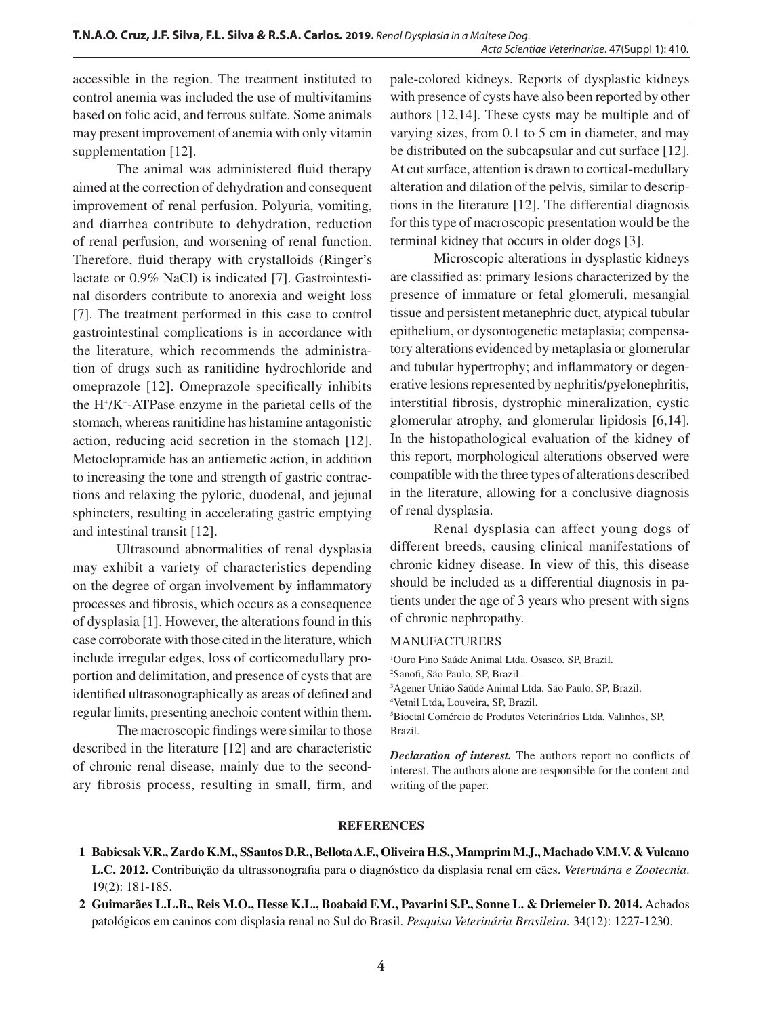accessible in the region. The treatment instituted to control anemia was included the use of multivitamins based on folic acid, and ferrous sulfate. Some animals may present improvement of anemia with only vitamin supplementation [12].

The animal was administered fluid therapy aimed at the correction of dehydration and consequent improvement of renal perfusion. Polyuria, vomiting, and diarrhea contribute to dehydration, reduction of renal perfusion, and worsening of renal function. Therefore, fluid therapy with crystalloids (Ringer's lactate or 0.9% NaCl) is indicated [7]. Gastrointestinal disorders contribute to anorexia and weight loss [7]. The treatment performed in this case to control gastrointestinal complications is in accordance with the literature, which recommends the administration of drugs such as ranitidine hydrochloride and omeprazole [12]. Omeprazole specifically inhibits the H+ /K+ -ATPase enzyme in the parietal cells of the stomach, whereas ranitidine has histamine antagonistic action, reducing acid secretion in the stomach [12]. Metoclopramide has an antiemetic action, in addition to increasing the tone and strength of gastric contractions and relaxing the pyloric, duodenal, and jejunal sphincters, resulting in accelerating gastric emptying and intestinal transit [12].

Ultrasound abnormalities of renal dysplasia may exhibit a variety of characteristics depending on the degree of organ involvement by inflammatory processes and fibrosis, which occurs as a consequence of dysplasia [1]. However, the alterations found in this case corroborate with those cited in the literature, which include irregular edges, loss of corticomedullary proportion and delimitation, and presence of cysts that are identified ultrasonographically as areas of defined and regular limits, presenting anechoic content within them.

The macroscopic findings were similar to those described in the literature [12] and are characteristic of chronic renal disease, mainly due to the secondary fibrosis process, resulting in small, firm, and

pale-colored kidneys. Reports of dysplastic kidneys with presence of cysts have also been reported by other authors [12,14]. These cysts may be multiple and of varying sizes, from 0.1 to 5 cm in diameter, and may be distributed on the subcapsular and cut surface [12]. At cut surface, attention is drawn to cortical-medullary alteration and dilation of the pelvis, similar to descriptions in the literature [12]. The differential diagnosis for this type of macroscopic presentation would be the terminal kidney that occurs in older dogs [3].

Microscopic alterations in dysplastic kidneys are classified as: primary lesions characterized by the presence of immature or fetal glomeruli, mesangial tissue and persistent metanephric duct, atypical tubular epithelium, or dysontogenetic metaplasia; compensatory alterations evidenced by metaplasia or glomerular and tubular hypertrophy; and inflammatory or degenerative lesions represented by nephritis/pyelonephritis, interstitial fibrosis, dystrophic mineralization, cystic glomerular atrophy, and glomerular lipidosis [6,14]. In the histopathological evaluation of the kidney of this report, morphological alterations observed were compatible with the three types of alterations described in the literature, allowing for a conclusive diagnosis of renal dysplasia.

Renal dysplasia can affect young dogs of different breeds, causing clinical manifestations of chronic kidney disease. In view of this, this disease should be included as a differential diagnosis in patients under the age of 3 years who present with signs of chronic nephropathy.

#### MANUFACTURERS

1 Ouro Fino Saúde Animal Ltda. Osasco, SP, Brazil.

2 Sanofi, São Paulo, SP, Brazil.

3 Agener União Saúde Animal Ltda. São Paulo, SP, Brazil.

4 Vetnil Ltda, Louveira, SP, Brazil.

5 Bioctal Comércio de Produtos Veterinários Ltda, Valinhos, SP, Brazil.

*Declaration of interest.* The authors report no conflicts of interest. The authors alone are responsible for the content and writing of the paper.

#### **REFERENCES**

- **1 Babicsak V.R., Zardo K.M., SSantos D.R., Bellota A.F., Oliveira H.S., Mamprim M.J., Machado V.M.V. & Vulcano L.C. 2012.** Contribuição da ultrassonografia para o diagnóstico da displasia renal em cães. *Veterinária e Zootecnia*. 19(2): 181-185.
- **2 Guimarães L.L.B., Reis M.O., Hesse K.L., Boabaid F.M., Pavarini S.P., Sonne L. & Driemeier D. 2014.** Achados patológicos em caninos com displasia renal no Sul do Brasil. *Pesquisa Veterinária Brasileira.* 34(12): 1227-1230.